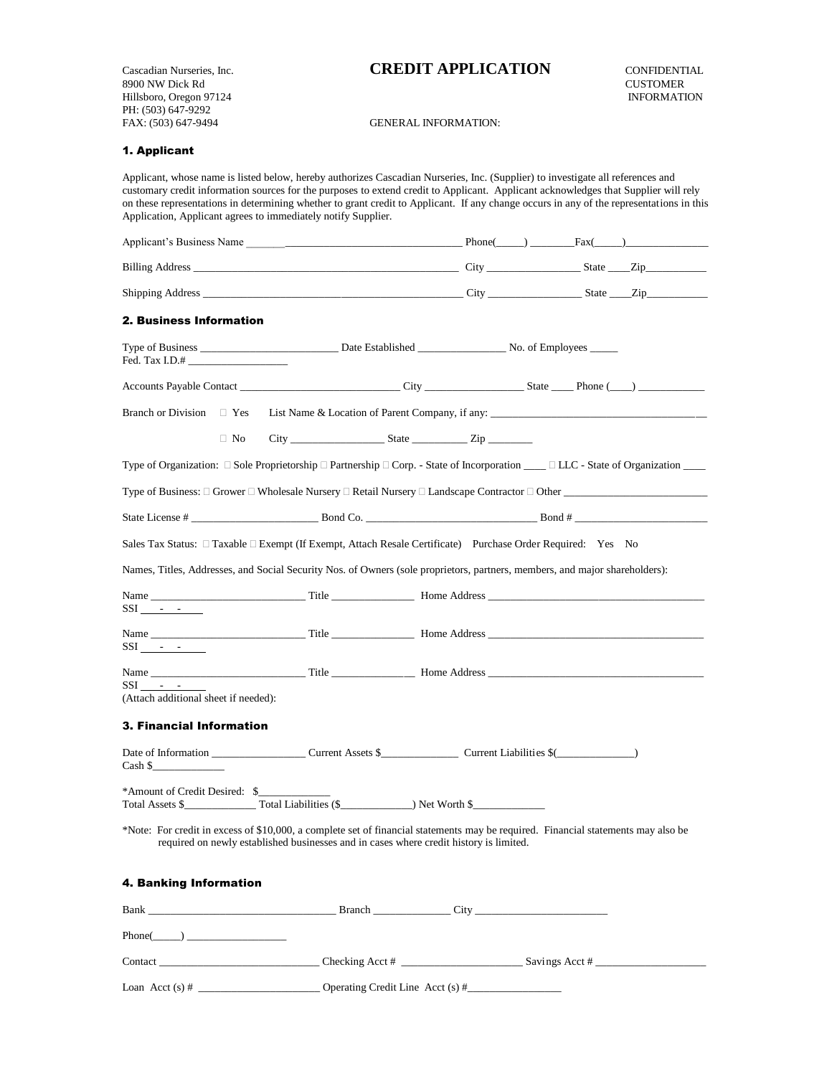8900 NW Dick Rd<br>
Hillsboro, Oregon 97124<br>
Hillsboro, Oregon 97124 Hillsboro, Oregon 97124 PH: (503) 647-9292 FAX: (503) 647-9494 GENERAL INFORMATION:

# Cascadian Nurseries, Inc. **CREDIT APPLICATION** CONFIDENTIAL

### 1. Applicant

Applicant, whose name is listed below, hereby authorizes Cascadian Nurseries, Inc. (Supplier) to investigate all references and customary credit information sources for the purposes to extend credit to Applicant. Applicant acknowledges that Supplier will rely on these representations in determining whether to grant credit to Applicant. If any change occurs in any of the representations in this Application, Applicant agrees to immediately notify Supplier. Applicant's Business Name \_\_\_\_\_\_\_\_\_\_\_\_\_\_\_\_\_\_\_\_\_\_\_\_\_\_\_\_\_\_\_\_\_\_\_\_\_\_\_ Phone(\_\_\_\_\_) \_\_\_\_\_\_\_\_Fax(\_\_\_\_\_)\_\_\_\_\_\_\_\_\_\_\_\_\_\_\_ Billing Address \_\_\_\_\_\_\_\_\_\_\_\_\_\_\_\_\_\_\_\_\_\_\_\_\_\_\_\_\_\_\_\_\_\_\_\_\_\_\_\_\_\_\_\_\_\_\_\_ City \_\_\_\_\_\_\_\_\_\_\_\_\_\_\_\_\_ State \_\_\_\_Zip\_\_\_\_\_\_\_\_\_\_\_

 $\text{Stipping Address}$  and  $\text{City}$  and  $\text{City}$  and  $\text{City}$  and  $\text{City}$  and  $\text{City}$  and  $\text{City}$  and  $\text{City}$  and  $\text{City}$  and  $\text{City}$  and  $\text{City}$  and  $\text{City}$  and  $\text{City}$  and  $\text{City}$  and  $\text{City}$  and  $\text{City}$  and  $\text{City}$  an

#### 2. Business Information

| Fed. Tax I.D.#                                    |            |                                                                                                                                                                                                                             |  |                |  |
|---------------------------------------------------|------------|-----------------------------------------------------------------------------------------------------------------------------------------------------------------------------------------------------------------------------|--|----------------|--|
|                                                   |            |                                                                                                                                                                                                                             |  |                |  |
| <b>Branch or Division</b>                         | $\Box$ Yes | List Name & Location of Parent Company, if any:                                                                                                                                                                             |  |                |  |
|                                                   | $\Box$ No  |                                                                                                                                                                                                                             |  |                |  |
|                                                   |            | Type of Organization: $\Box$ Sole Proprietorship $\Box$ Partnership $\Box$ Corp. - State of Incorporation ___ $\Box$ LLC - State of Organization ___                                                                        |  |                |  |
|                                                   |            |                                                                                                                                                                                                                             |  |                |  |
|                                                   |            |                                                                                                                                                                                                                             |  |                |  |
|                                                   |            | Sales Tax Status: □ Taxable □ Exempt (If Exempt, Attach Resale Certificate) Purchase Order Required: Yes No                                                                                                                 |  |                |  |
|                                                   |            | Names, Titles, Addresses, and Social Security Nos. of Owners (sole proprietors, partners, members, and major shareholders):                                                                                                 |  |                |  |
| $SSI$ $ -$                                        |            |                                                                                                                                                                                                                             |  |                |  |
| $SSI - -$                                         |            |                                                                                                                                                                                                                             |  |                |  |
| $SSI - -$<br>(Attach additional sheet if needed): |            |                                                                                                                                                                                                                             |  |                |  |
| <b>3. Financial Information</b>                   |            |                                                                                                                                                                                                                             |  |                |  |
| $\cosh \xi$                                       |            |                                                                                                                                                                                                                             |  |                |  |
| *Amount of Credit Desired: \$                     |            |                                                                                                                                                                                                                             |  |                |  |
|                                                   |            | *Note: For credit in excess of \$10,000, a complete set of financial statements may be required. Financial statements may also be<br>required on newly established businesses and in cases where credit history is limited. |  |                |  |
| 4. Banking Information                            |            |                                                                                                                                                                                                                             |  |                |  |
|                                                   |            |                                                                                                                                                                                                                             |  |                |  |
| Phone( )                                          |            |                                                                                                                                                                                                                             |  |                |  |
|                                                   |            |                                                                                                                                                                                                                             |  | Savings Acct # |  |

Loan Acct (s) # \_\_\_\_\_\_\_\_\_\_\_\_\_\_\_\_\_\_\_\_\_\_ Operating Credit Line Acct (s) #\_\_\_\_\_\_\_\_\_\_\_\_\_\_\_\_\_